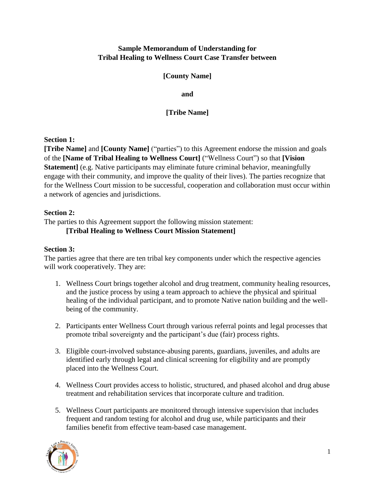#### **Sample Memorandum of Understanding for Tribal Healing to Wellness Court Case Transfer between**

#### **[County Name]**

**and**

**[Tribe Name]** 

### **Section 1:**

**[Tribe Name]** and **[County Name]** ("parties") to this Agreement endorse the mission and goals of the **[Name of Tribal Healing to Wellness Court]** ("Wellness Court") so that **[Vision Statement**] (e.g. Native participants may eliminate future criminal behavior, meaningfully engage with their community, and improve the quality of their lives). The parties recognize that for the Wellness Court mission to be successful, cooperation and collaboration must occur within a network of agencies and jurisdictions.

# **Section 2:**

The parties to this Agreement support the following mission statement:

### **[Tribal Healing to Wellness Court Mission Statement]**

# **Section 3:**

The parties agree that there are ten tribal key components under which the respective agencies will work cooperatively. They are:

- 1. Wellness Court brings together alcohol and drug treatment, community healing resources, and the justice process by using a team approach to achieve the physical and spiritual healing of the individual participant, and to promote Native nation building and the wellbeing of the community.
- 2. Participants enter Wellness Court through various referral points and legal processes that promote tribal sovereignty and the participant's due (fair) process rights.
- 3. Eligible court-involved substance-abusing parents, guardians, juveniles, and adults are identified early through legal and clinical screening for eligibility and are promptly placed into the Wellness Court.
- 4. Wellness Court provides access to holistic, structured, and phased alcohol and drug abuse treatment and rehabilitation services that incorporate culture and tradition.
- 5. Wellness Court participants are monitored through intensive supervision that includes frequent and random testing for alcohol and drug use, while participants and their families benefit from effective team-based case management.

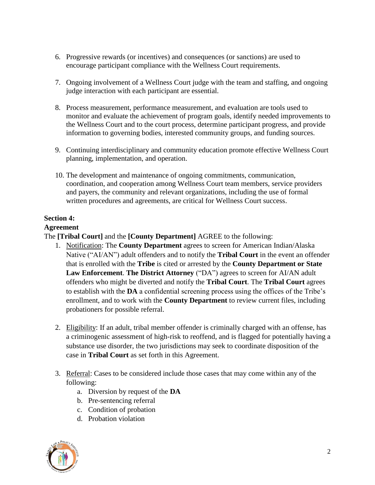- 6. Progressive rewards (or incentives) and consequences (or sanctions) are used to encourage participant compliance with the Wellness Court requirements.
- 7. Ongoing involvement of a Wellness Court judge with the team and staffing, and ongoing judge interaction with each participant are essential.
- 8. Process measurement, performance measurement, and evaluation are tools used to monitor and evaluate the achievement of program goals, identify needed improvements to the Wellness Court and to the court process, determine participant progress, and provide information to governing bodies, interested community groups, and funding sources.
- 9. Continuing interdisciplinary and community education promote effective Wellness Court planning, implementation, and operation.
- 10. The development and maintenance of ongoing commitments, communication, coordination, and cooperation among Wellness Court team members, service providers and payers, the community and relevant organizations, including the use of formal written procedures and agreements, are critical for Wellness Court success.

### **Section 4:**

### **Agreement**

The **[Tribal Court]** and the **[County Department]** AGREE to the following:

- 1. Notification: The **County Department** agrees to screen for American Indian/Alaska Native ("AI/AN") adult offenders and to notify the **Tribal Court** in the event an offender that is enrolled with the **Tribe** is cited or arrested by the **County Department or State Law Enforcement**. **The District Attorney** ("DA") agrees to screen for AI/AN adult offenders who might be diverted and notify the **Tribal Court**. The **Tribal Court** agrees to establish with the **DA** a confidential screening process using the offices of the Tribe's enrollment, and to work with the **County Department** to review current files, including probationers for possible referral.
- 2. Eligibility: If an adult, tribal member offender is criminally charged with an offense, has a criminogenic assessment of high-risk to reoffend, and is flagged for potentially having a substance use disorder, the two jurisdictions may seek to coordinate disposition of the case in **Tribal Court** as set forth in this Agreement.
- 3. Referral: Cases to be considered include those cases that may come within any of the following:
	- a. Diversion by request of the **DA**
	- b. Pre-sentencing referral
	- c. Condition of probation
	- d. Probation violation

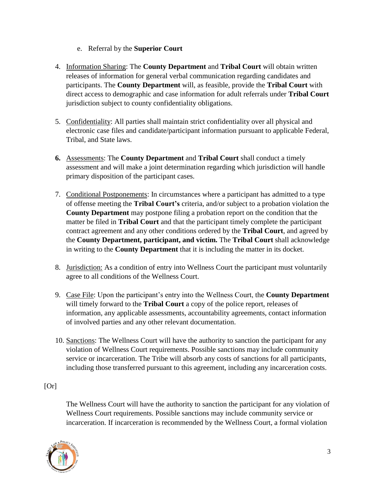- e. Referral by the **Superior Court**
- 4. Information Sharing: The **County Department** and **Tribal Court** will obtain written releases of information for general verbal communication regarding candidates and participants. The **County Department** will, as feasible, provide the **Tribal Court** with direct access to demographic and case information for adult referrals under **Tribal Court** jurisdiction subject to county confidentiality obligations.
- 5. Confidentiality: All parties shall maintain strict confidentiality over all physical and electronic case files and candidate/participant information pursuant to applicable Federal, Tribal, and State laws.
- **6.** Assessments: The **County Department** and **Tribal Court** shall conduct a timely assessment and will make a joint determination regarding which jurisdiction will handle primary disposition of the participant cases.
- 7. Conditional Postponements: In circumstances where a participant has admitted to a type of offense meeting the **Tribal Court's** criteria, and/or subject to a probation violation the **County Department** may postpone filing a probation report on the condition that the matter be filed in **Tribal Court** and that the participant timely complete the participant contract agreement and any other conditions ordered by the **Tribal Court**, and agreed by the **County Department, participant, and victim.** The **Tribal Court** shall acknowledge in writing to the **County Department** that it is including the matter in its docket.
- 8. Jurisdiction: As a condition of entry into Wellness Court the participant must voluntarily agree to all conditions of the Wellness Court.
- 9. Case File: Upon the participant's entry into the Wellness Court, the **County Department** will timely forward to the **Tribal Court** a copy of the police report, releases of information, any applicable assessments, accountability agreements, contact information of involved parties and any other relevant documentation.
- 10. Sanctions: The Wellness Court will have the authority to sanction the participant for any violation of Wellness Court requirements. Possible sanctions may include community service or incarceration. The Tribe will absorb any costs of sanctions for all participants, including those transferred pursuant to this agreement, including any incarceration costs.

[Or]

The Wellness Court will have the authority to sanction the participant for any violation of Wellness Court requirements. Possible sanctions may include community service or incarceration. If incarceration is recommended by the Wellness Court, a formal violation

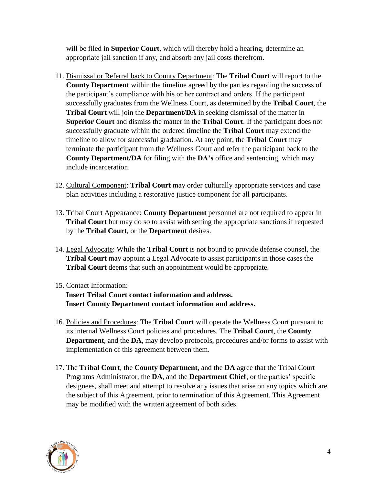will be filed in **Superior Court**, which will thereby hold a hearing, determine an appropriate jail sanction if any, and absorb any jail costs therefrom.

- 11. Dismissal or Referral back to County Department: The **Tribal Court** will report to the **County Department** within the timeline agreed by the parties regarding the success of the participant's compliance with his or her contract and orders. If the participant successfully graduates from the Wellness Court, as determined by the **Tribal Court**, the **Tribal Court** will join the **Department/DA** in seeking dismissal of the matter in **Superior Court** and dismiss the matter in the **Tribal Court**. If the participant does not successfully graduate within the ordered timeline the **Tribal Court** may extend the timeline to allow for successful graduation. At any point, the **Tribal Court** may terminate the participant from the Wellness Court and refer the participant back to the **County Department/DA** for filing with the **DA's** office and sentencing, which may include incarceration.
- 12. Cultural Component: **Tribal Court** may order culturally appropriate services and case plan activities including a restorative justice component for all participants.
- 13. Tribal Court Appearance: **County Department** personnel are not required to appear in **Tribal Court** but may do so to assist with setting the appropriate sanctions if requested by the **Tribal Court**, or the **Department** desires.
- 14. Legal Advocate: While the **Tribal Court** is not bound to provide defense counsel, the **Tribal Court** may appoint a Legal Advocate to assist participants in those cases the **Tribal Court** deems that such an appointment would be appropriate.
- 15. Contact Information: **Insert Tribal Court contact information and address.**

**Insert County Department contact information and address.** 

- 16. Policies and Procedures: The **Tribal Court** will operate the Wellness Court pursuant to its internal Wellness Court policies and procedures. The **Tribal Court**, the **County Department**, and the **DA**, may develop protocols, procedures and/or forms to assist with implementation of this agreement between them.
- 17. The **Tribal Court**, the **County Department**, and the **DA** agree that the Tribal Court Programs Administrator, the **DA**, and the **Department Chief**, or the parties' specific designees, shall meet and attempt to resolve any issues that arise on any topics which are the subject of this Agreement, prior to termination of this Agreement. This Agreement may be modified with the written agreement of both sides.